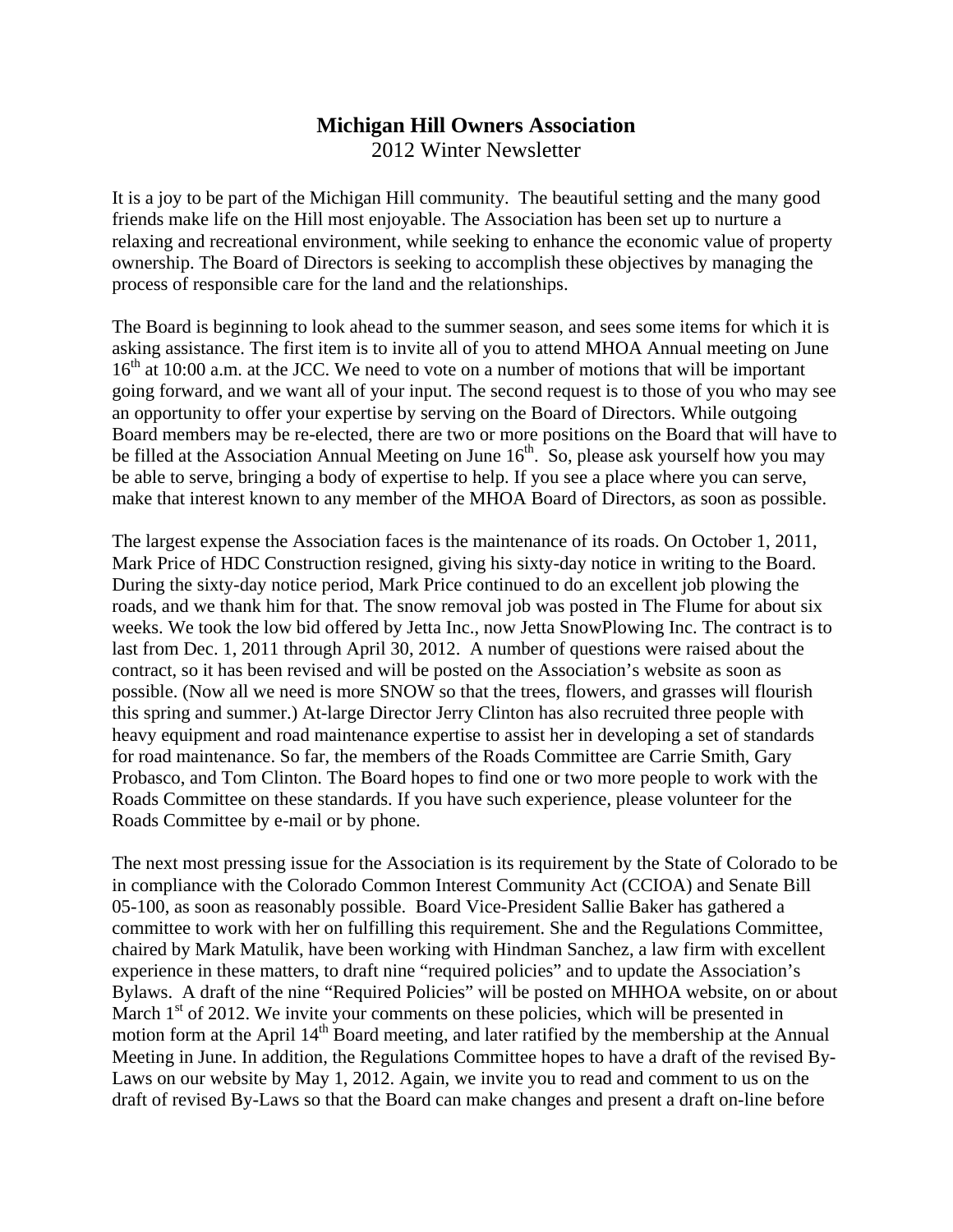## **Michigan Hill Owners Association**  2012 Winter Newsletter

It is a joy to be part of the Michigan Hill community. The beautiful setting and the many good friends make life on the Hill most enjoyable. The Association has been set up to nurture a relaxing and recreational environment, while seeking to enhance the economic value of property ownership. The Board of Directors is seeking to accomplish these objectives by managing the process of responsible care for the land and the relationships.

The Board is beginning to look ahead to the summer season, and sees some items for which it is asking assistance. The first item is to invite all of you to attend MHOA Annual meeting on June  $16<sup>th</sup>$  at 10:00 a.m. at the JCC. We need to vote on a number of motions that will be important going forward, and we want all of your input. The second request is to those of you who may see an opportunity to offer your expertise by serving on the Board of Directors. While outgoing Board members may be re-elected, there are two or more positions on the Board that will have to be filled at the Association Annual Meeting on June  $16<sup>th</sup>$ . So, please ask yourself how you may be able to serve, bringing a body of expertise to help. If you see a place where you can serve, make that interest known to any member of the MHOA Board of Directors, as soon as possible.

The largest expense the Association faces is the maintenance of its roads. On October 1, 2011, Mark Price of HDC Construction resigned, giving his sixty-day notice in writing to the Board. During the sixty-day notice period, Mark Price continued to do an excellent job plowing the roads, and we thank him for that. The snow removal job was posted in The Flume for about six weeks. We took the low bid offered by Jetta Inc., now Jetta SnowPlowing Inc. The contract is to last from Dec. 1, 2011 through April 30, 2012. A number of questions were raised about the contract, so it has been revised and will be posted on the Association's website as soon as possible. (Now all we need is more SNOW so that the trees, flowers, and grasses will flourish this spring and summer.) At-large Director Jerry Clinton has also recruited three people with heavy equipment and road maintenance expertise to assist her in developing a set of standards for road maintenance. So far, the members of the Roads Committee are Carrie Smith, Gary Probasco, and Tom Clinton. The Board hopes to find one or two more people to work with the Roads Committee on these standards. If you have such experience, please volunteer for the Roads Committee by e-mail or by phone.

The next most pressing issue for the Association is its requirement by the State of Colorado to be in compliance with the Colorado Common Interest Community Act (CCIOA) and Senate Bill 05-100, as soon as reasonably possible. Board Vice-President Sallie Baker has gathered a committee to work with her on fulfilling this requirement. She and the Regulations Committee, chaired by Mark Matulik, have been working with Hindman Sanchez, a law firm with excellent experience in these matters, to draft nine "required policies" and to update the Association's Bylaws. A draft of the nine "Required Policies" will be posted on MHHOA website, on or about March  $1<sup>st</sup>$  of 2012. We invite your comments on these policies, which will be presented in motion form at the April 14<sup>th</sup> Board meeting, and later ratified by the membership at the Annual Meeting in June. In addition, the Regulations Committee hopes to have a draft of the revised By-Laws on our website by May 1, 2012. Again, we invite you to read and comment to us on the draft of revised By-Laws so that the Board can make changes and present a draft on-line before